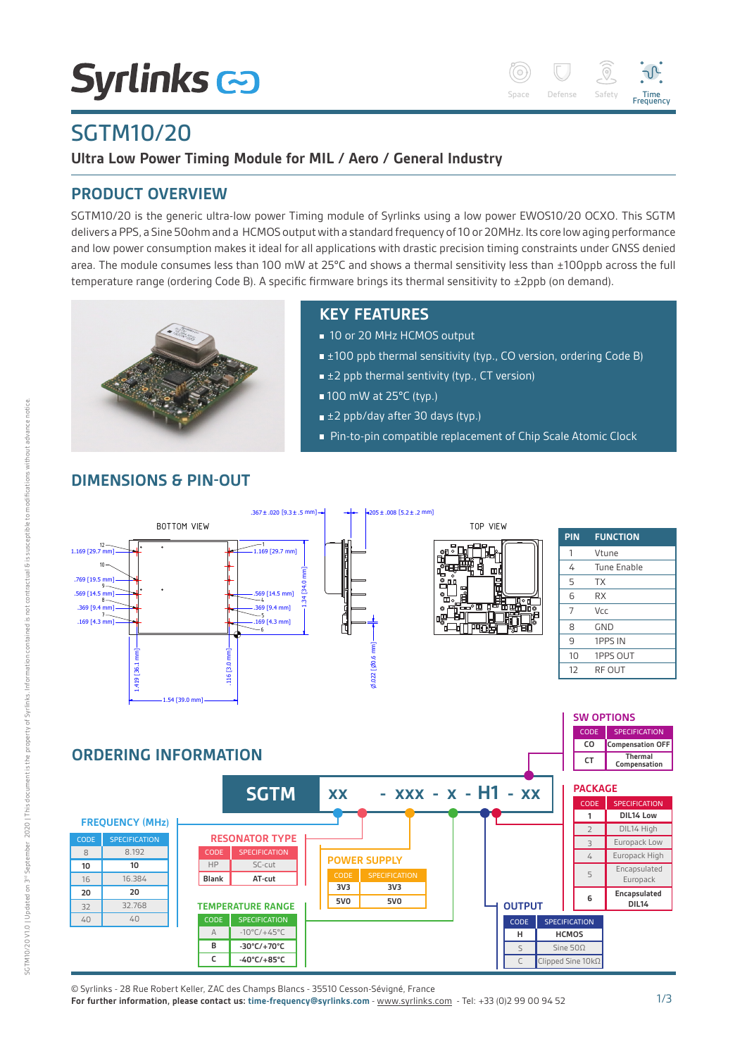# **Syrlinks &**



# SGTM10/20

**Ultra Low Power Timing Module for MIL / Aero / General Industry**

# **PRODUCT OVERVIEW**

SGTM10/20 is the generic ultra-low power Timing module of Syrlinks using a low power EWOS10/20 OCXO. This SGTM delivers a PPS, a Sine 50ohm and a HCMOS output with a standard frequency of 10 or 20MHz. Its core low aging performance and low power consumption makes it ideal for all applications with drastic precision timing constraints under GNSS denied area. The module consumes less than 100 mW at 25°C and shows a thermal sensitivity less than ±100ppb across the full temperature range (ordering Code B). A specific firmware brings its thermal sensitivity to ±2ppb (on demand).



# **KEY FEATURES**

- 10 or 20 MHz HCMOS output
- $\equiv \pm 100$  ppb thermal sensitivity (typ., CO version, ordering Code B)
- $\equiv \pm 2$  ppb thermal sentivity (typ., CT version)
- 100 mW at 25°C (typ.)
- $\pm 2$  ppb/day after 30 days (typ.)
- Pin-to-pin compatible replacement of Chip Scale Atomic Clock

#### $.367 \pm .020$  [9.3 $\pm$ .5 mm]  $\rightarrow$   $\rightarrow$   $\rightarrow$   $\rightarrow$   $\rightarrow$  205 $\pm$ .008 [5.2 $\pm$ .2 mm] BOTTOM VIEW **TOP VIEW TOP VIEW PIN FUNCTION** 1 1.169 [29.7 mm] 12 1.169 [29.7 mm] 1 Vtune  $10<sup>10</sup>$  4 Tune Enable 1.34 [34.0 mm] .769 [19.5 mm]  $5$  TX 9 .569 [14.5 mm] 6 RX .569 [14.5 mm]<br>— 4 8  $.369$   $[9.4]$  $7$  Vcc 5 .369 [9.4 mm] 72 3 .169 [4.3 mm]  $-3$  [4.3 mm] 8 GND 6 9 1PPS IN .022 [0.6 mm] 1.419 [36.1 mm] .116 [3.0 mm] 10 1PPS OUT 120.6  $3.0$ 1.419 [36.1 12 RF OUT  $0.022$  $\frac{116}{2}$ 1.54 [39.0 mm] **SW OPTIONS** CODE SPECIFICATION **CO Compensation OFF ORDERING INFORMATION Thermal Compensation** Historique des révisions Rév. Date Auteur Description **CT** TOL. GEN. Etat de surface ECHELLE + Traiting in the state of  $\mathcal{F}_\mathbf{1}$ **SGTM** xx - xxx - x - H1 - xx ||  $GTM$  : Voir données in inc **PACKAGE** CODE SPECIFICATION Finition : **1 DIL14 Low** - Supprimer toutes les particules détachables  $\overline{\phantom{a}}$ **FREQUENCY (MHz)** 1 Cotes de contrôle : DIL14 High NUMERO DOCUMENT / DOCUMENT NUMBER FORMAT/SIZE  $\overline{2}$ 8 GND  $\overline{1}$   $\overline{1}$ **RESONATOR TYPE** OB 008 I 272 1  $\overline{C}$ SPECIFICATION Europack Low 3  $\overline{\phantom{a}}$  . The set of  $\overline{\phantom{a}}$ 8.192 CODE SPECIFICATION  $\overline{\phantom{a}}$ A 4 8 Europack High  $\overline{\phantom{a}}$   $\overline{\phantom{a}}$   $\overline{\phantom{a}}$ **POWER SUPPLY** 10 10 HP SC-cut POWER SUPPLY | | **10** HP SC-cut **10 Encapsulated** 5 16.384 **Blank AT-cut** 16 Europack **3V3 3V3 20 20 Encapsulated 6 5V0** Révision du composant : A **5V0** 32.768 **OUTPUT DIL14**  $\overline{3}$ **TEMPERATURE RANGE** Nom du fichier : OB008I272\_SGTM\_EWOS25xx.id  $40$  $40$ CODE SPECIFICATION CODE SPECIFICATION Note that is a composition of the composition of the composition of the composition of the composition of the composition of the composition of the composition of the composition of the composition of the composition of th A  $-10^{\circ}$ C/+45°C **HCMOS H B -30°C/+70°C** Sine 500  $\subset$  $\overline{c}$ **-40°C/+85°C** C Clipped Sine 10kΩ

**DIMENSIONS & PIN-OUT**

© Syrlinks - 28 Rue Robert Keller, ZAC des Champs Blancs - 35510 Cesson-Sévigné, France

**For further information, please contact us: time-frequency@syrlinks.com** - www.syrlinks.com - Tel: +33 (0)2 99 00 94 52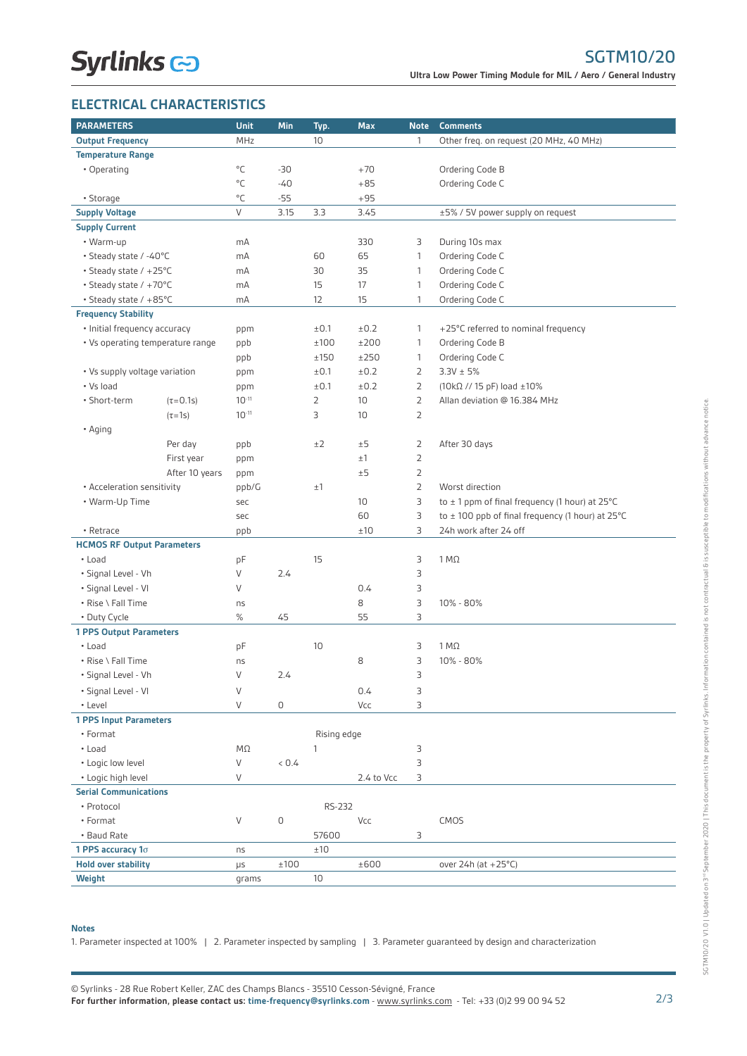## **ELECTRICAL CHARACTERISTICS**

| <b>PARAMETERS</b>                              |                 | <b>Unit</b>  | Min           | Typ.           | <b>Max</b> | <b>Note</b>    | <b>Comments</b>                                                               |
|------------------------------------------------|-----------------|--------------|---------------|----------------|------------|----------------|-------------------------------------------------------------------------------|
| <b>Output Frequency</b>                        |                 | MHz          |               | 10             |            | $\mathbf{1}$   | Other freq. on request (20 MHz, 40 MHz)                                       |
| <b>Temperature Range</b>                       |                 |              |               |                |            |                |                                                                               |
| • Operating                                    |                 | °C           | $-30$         |                | $+70$      |                | Ordering Code B                                                               |
|                                                |                 | $^{\circ}$ C | $-40$         |                | $+85$      |                | Ordering Code C                                                               |
| • Storage                                      |                 | $^{\circ}$ C | $-55$         |                | $+95$      |                |                                                                               |
| <b>Supply Voltage</b>                          |                 | V            | 3.15          | 3.3            | 3.45       |                | ±5% / 5V power supply on request                                              |
| <b>Supply Current</b>                          |                 |              |               |                |            |                |                                                                               |
| • Warm-up                                      |                 | mA           |               |                | 330        | 3              | During 10s max                                                                |
| • Steady state / -40°C                         |                 | mA           |               | 60             | 65         | $\mathbf{1}$   | Ordering Code C                                                               |
| • Steady state / +25°C                         |                 | mA           |               | 30             | 35         | $\mathbf{1}$   | Ordering Code C                                                               |
| • Steady state / +70°C                         |                 | mA           |               | 15             | 17         | 1              | Ordering Code C                                                               |
| • Steady state / +85°C                         |                 | mA           |               | 12             | 15         | $\mathbf{1}$   | Ordering Code C                                                               |
| <b>Frequency Stability</b>                     |                 |              |               |                |            |                |                                                                               |
| • Initial frequency accuracy                   |                 | ppm          |               | ±0.1           | ±0.2       | $\mathbf{1}$   | +25°C referred to nominal frequency                                           |
| • Vs operating temperature range               |                 | ppb          |               | ±100           | ±200       | $\mathbf{1}$   | Ordering Code B                                                               |
|                                                |                 | ppb          |               | ±150           | ±250       | $\mathbf{1}$   | Ordering Code C                                                               |
| • Vs supply voltage variation                  |                 | ppm          |               | ±0.1           | ±0.2       | $\overline{2}$ | $3.3V \pm 5%$                                                                 |
| • Vs load                                      |                 | ppm          |               | ±0.1           | ±0.2       | $\overline{2}$ | $(10kΩ$ // 15 pF) load $±10%$                                                 |
| • Short-term                                   | $(\tau = 0.1s)$ | $10^{-11}$   |               | $\overline{2}$ | 10         | $\overline{2}$ | Allan deviation @ 16.384 MHz                                                  |
|                                                | $(\tau=1s)$     | $10^{-11}$   |               | 3              | 10         | $\overline{2}$ |                                                                               |
| • Aging                                        |                 |              |               |                |            |                |                                                                               |
|                                                | Per day         | ppb          |               | ±2             | ±5         | 2              | After 30 days                                                                 |
|                                                | First year      | ppm          |               |                | ±1         | $\overline{2}$ |                                                                               |
|                                                | After 10 years  |              |               |                | ±5         | $\overline{2}$ |                                                                               |
|                                                |                 | ppm          |               | ±1             |            | $\overline{2}$ | Worst direction                                                               |
| • Acceleration sensitivity                     |                 | ppb/G        |               |                | 10         | 3              | to $\pm$ 1 ppm of final frequency (1 hour) at 25 $^{\circ}$ C                 |
| • Warm-Up Time                                 |                 | sec          |               |                | 60         | 3              |                                                                               |
|                                                |                 | sec          |               |                | ±10        | 3              | to $\pm$ 100 ppb of final frequency (1 hour) at 25°C<br>24h work after 24 off |
| • Retrace<br><b>HCMOS RF Output Parameters</b> |                 | ppb          |               |                |            |                |                                                                               |
| • Load                                         |                 | pF           |               | 15             |            | 3              | $1 M\Omega$                                                                   |
| • Signal Level - Vh                            |                 | V            | 2.4           |                |            | 3              |                                                                               |
| • Signal Level - VI                            |                 | V            |               |                | 0.4        | 3              |                                                                               |
| • Rise \ Fall Time                             |                 | ns           |               |                | 8          | 3              | 10% - 80%                                                                     |
| • Duty Cycle                                   |                 | $\%$         | 45            |                | 55         | 3              |                                                                               |
| <b>1 PPS Output Parameters</b>                 |                 |              |               |                |            |                |                                                                               |
| • Load                                         |                 | pF           |               | 10             |            | 3              | $1 M\Omega$                                                                   |
| • Rise \ Fall Time                             |                 | ns           |               |                | 8          | 3              | 10% - 80%                                                                     |
| • Signal Level - Vh                            |                 | V            | $2.4^{\circ}$ |                |            | 3              |                                                                               |
|                                                |                 |              |               |                |            |                |                                                                               |
| • Signal Level - VI                            |                 | V            |               |                | 0.4        | 3              |                                                                               |
| • Level                                        |                 | V            | 0             |                | Vcc        | 3              |                                                                               |
| <b>1 PPS Input Parameters</b><br>• Format      |                 |              |               |                |            |                |                                                                               |
|                                                |                 |              |               | Rising edge    |            |                |                                                                               |
| • Load                                         |                 | $M\Omega$    |               | 1              |            | 3              |                                                                               |
| • Logic low level                              |                 | V            | 0.4           |                |            | 3              |                                                                               |
| V<br>• Logic high level                        |                 |              |               |                | 2.4 to Vcc | 3              |                                                                               |
| <b>Serial Communications</b>                   |                 |              |               |                |            |                |                                                                               |
| • Protocol                                     |                 |              |               | RS-232         |            |                |                                                                               |
| • Format                                       |                 | V            | 0             |                | Vcc        |                | CMOS                                                                          |
| • Baud Rate                                    |                 |              |               | 57600          |            | 3              |                                                                               |
| 1 PPS accuracy $1\sigma$                       |                 | ns           |               | ±10            |            |                |                                                                               |
| <b>Hold over stability</b>                     |                 | μs           | ±100          |                | ±600       |                | over 24h (at +25°C)                                                           |
| Weight                                         |                 | grams        |               | 10             |            |                |                                                                               |

### **Notes**

1. Parameter inspected at 100% | 2. Parameter inspected by sampling | 3. Parameter guaranteed by design and characterization